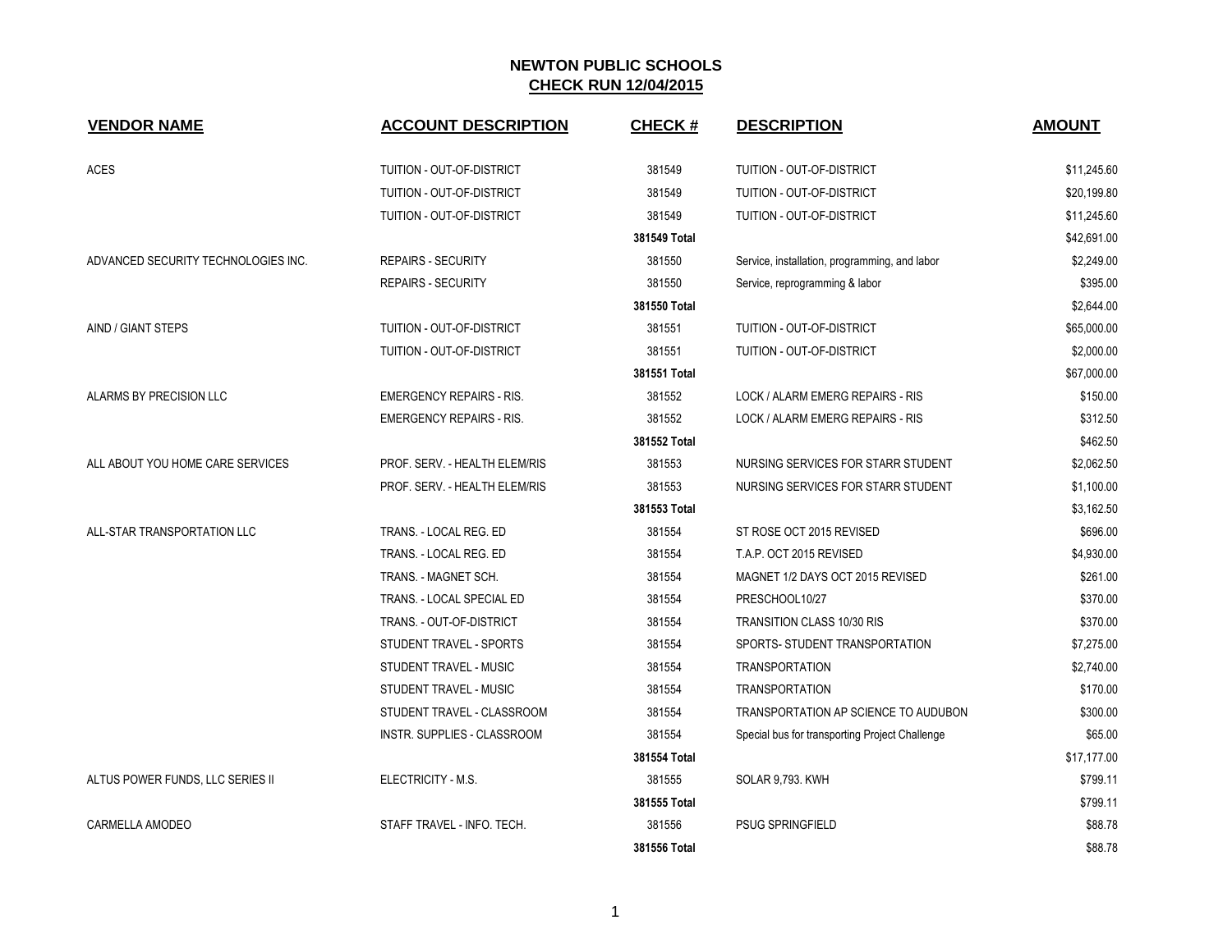| <b>VENDOR NAME</b>                  | <b>ACCOUNT DESCRIPTION</b>      | <b>CHECK#</b> | <b>DESCRIPTION</b>                             | <b>AMOUNT</b> |
|-------------------------------------|---------------------------------|---------------|------------------------------------------------|---------------|
| <b>ACES</b>                         | TUITION - OUT-OF-DISTRICT       | 381549        | TUITION - OUT-OF-DISTRICT                      | \$11,245.60   |
|                                     | TUITION - OUT-OF-DISTRICT       | 381549        | TUITION - OUT-OF-DISTRICT                      | \$20,199.80   |
|                                     | TUITION - OUT-OF-DISTRICT       | 381549        | TUITION - OUT-OF-DISTRICT                      | \$11,245.60   |
|                                     |                                 | 381549 Total  |                                                | \$42,691.00   |
| ADVANCED SECURITY TECHNOLOGIES INC. | <b>REPAIRS - SECURITY</b>       | 381550        | Service, installation, programming, and labor  | \$2,249.00    |
|                                     | <b>REPAIRS - SECURITY</b>       | 381550        | Service, reprogramming & labor                 | \$395.00      |
|                                     |                                 | 381550 Total  |                                                | \$2,644.00    |
| AIND / GIANT STEPS                  | TUITION - OUT-OF-DISTRICT       | 381551        | TUITION - OUT-OF-DISTRICT                      | \$65,000.00   |
|                                     | TUITION - OUT-OF-DISTRICT       | 381551        | <b>TUITION - OUT-OF-DISTRICT</b>               | \$2,000.00    |
|                                     |                                 | 381551 Total  |                                                | \$67,000.00   |
| ALARMS BY PRECISION LLC             | <b>EMERGENCY REPAIRS - RIS.</b> | 381552        | LOCK / ALARM EMERG REPAIRS - RIS               | \$150.00      |
|                                     | <b>EMERGENCY REPAIRS - RIS.</b> | 381552        | LOCK / ALARM EMERG REPAIRS - RIS               | \$312.50      |
|                                     |                                 | 381552 Total  |                                                | \$462.50      |
| ALL ABOUT YOU HOME CARE SERVICES    | PROF. SERV. - HEALTH ELEM/RIS   | 381553        | NURSING SERVICES FOR STARR STUDENT             | \$2,062.50    |
|                                     | PROF. SERV. - HEALTH ELEM/RIS   | 381553        | NURSING SERVICES FOR STARR STUDENT             | \$1,100.00    |
|                                     |                                 | 381553 Total  |                                                | \$3,162.50    |
| ALL-STAR TRANSPORTATION LLC         | TRANS. - LOCAL REG. ED          | 381554        | ST ROSE OCT 2015 REVISED                       | \$696.00      |
|                                     | TRANS. - LOCAL REG. ED          | 381554        | T.A.P. OCT 2015 REVISED                        | \$4,930.00    |
|                                     | TRANS. - MAGNET SCH.            | 381554        | MAGNET 1/2 DAYS OCT 2015 REVISED               | \$261.00      |
|                                     | TRANS. - LOCAL SPECIAL ED       | 381554        | PRESCHOOL10/27                                 | \$370.00      |
|                                     | TRANS. - OUT-OF-DISTRICT        | 381554        | <b>TRANSITION CLASS 10/30 RIS</b>              | \$370.00      |
|                                     | STUDENT TRAVEL - SPORTS         | 381554        | SPORTS- STUDENT TRANSPORTATION                 | \$7,275.00    |
|                                     | STUDENT TRAVEL - MUSIC          | 381554        | <b>TRANSPORTATION</b>                          | \$2,740.00    |
|                                     | STUDENT TRAVEL - MUSIC          | 381554        | <b>TRANSPORTATION</b>                          | \$170.00      |
|                                     | STUDENT TRAVEL - CLASSROOM      | 381554        | TRANSPORTATION AP SCIENCE TO AUDUBON           | \$300.00      |
|                                     | INSTR. SUPPLIES - CLASSROOM     | 381554        | Special bus for transporting Project Challenge | \$65.00       |
|                                     |                                 | 381554 Total  |                                                | \$17,177.00   |
| ALTUS POWER FUNDS, LLC SERIES II    | ELECTRICITY - M.S.              | 381555        | <b>SOLAR 9,793. KWH</b>                        | \$799.11      |
|                                     |                                 | 381555 Total  |                                                | \$799.11      |
| CARMELLA AMODEO                     | STAFF TRAVEL - INFO. TECH.      | 381556        | <b>PSUG SPRINGFIELD</b>                        | \$88.78       |
|                                     |                                 | 381556 Total  |                                                | \$88.78       |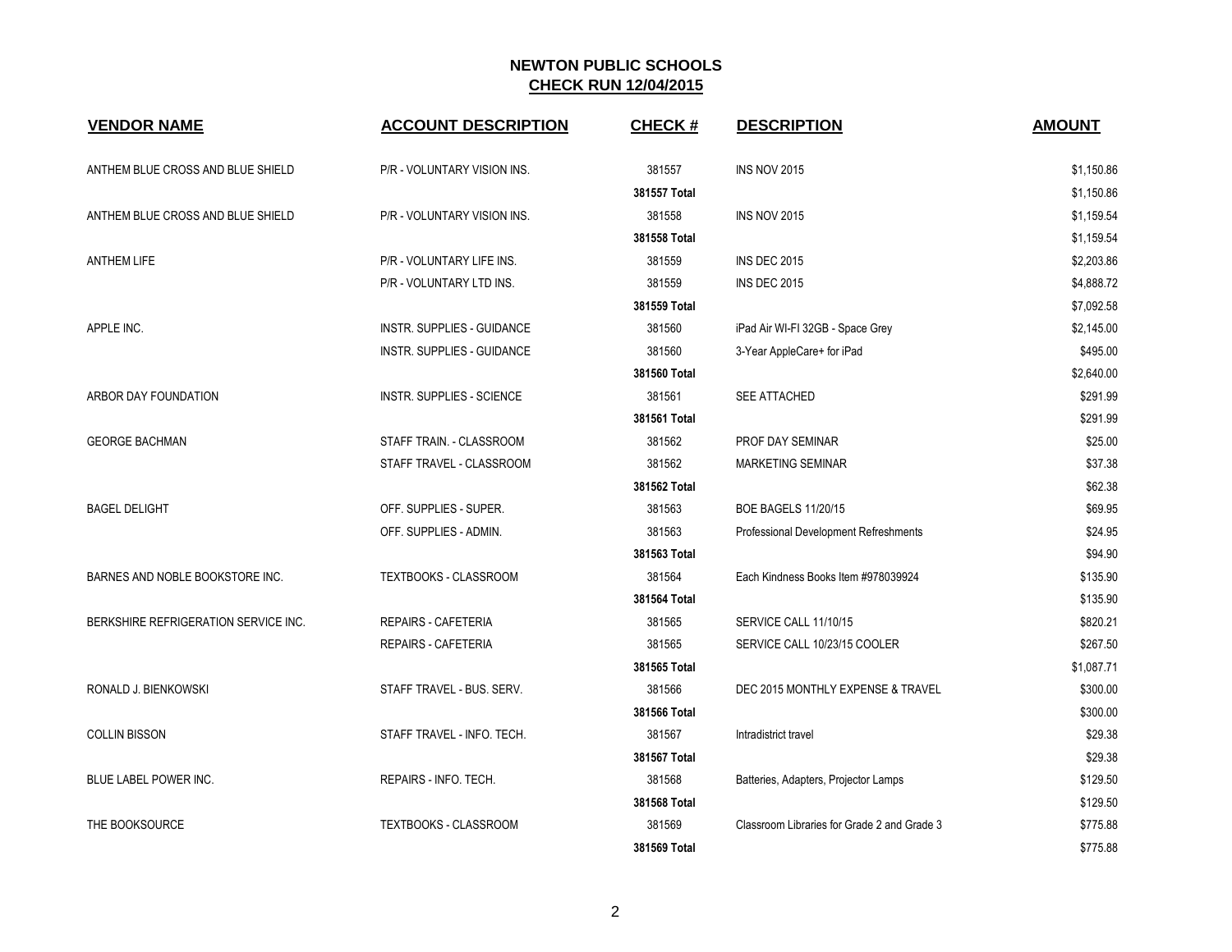| <b>VENDOR NAME</b>                   | <b>ACCOUNT DESCRIPTION</b>        | <b>CHECK#</b> | <b>DESCRIPTION</b>                          | <b>AMOUNT</b> |
|--------------------------------------|-----------------------------------|---------------|---------------------------------------------|---------------|
| ANTHEM BLUE CROSS AND BLUE SHIELD    | P/R - VOLUNTARY VISION INS.       | 381557        | <b>INS NOV 2015</b>                         | \$1,150.86    |
|                                      |                                   | 381557 Total  |                                             | \$1,150.86    |
| ANTHEM BLUE CROSS AND BLUE SHIELD    | P/R - VOLUNTARY VISION INS.       | 381558        | <b>INS NOV 2015</b>                         | \$1,159.54    |
|                                      |                                   | 381558 Total  |                                             | \$1,159.54    |
| <b>ANTHEM LIFE</b>                   | P/R - VOLUNTARY LIFE INS.         | 381559        | <b>INS DEC 2015</b>                         | \$2,203.86    |
|                                      | P/R - VOLUNTARY LTD INS.          | 381559        | <b>INS DEC 2015</b>                         | \$4,888.72    |
|                                      |                                   | 381559 Total  |                                             | \$7,092.58    |
| APPLE INC.                           | INSTR. SUPPLIES - GUIDANCE        | 381560        | iPad Air WI-FI 32GB - Space Grey            | \$2,145.00    |
|                                      | <b>INSTR. SUPPLIES - GUIDANCE</b> | 381560        | 3-Year AppleCare+ for iPad                  | \$495.00      |
|                                      |                                   | 381560 Total  |                                             | \$2,640.00    |
| ARBOR DAY FOUNDATION                 | <b>INSTR. SUPPLIES - SCIENCE</b>  | 381561        | <b>SEE ATTACHED</b>                         | \$291.99      |
|                                      |                                   | 381561 Total  |                                             | \$291.99      |
| <b>GEORGE BACHMAN</b>                | STAFF TRAIN. - CLASSROOM          | 381562        | PROF DAY SEMINAR                            | \$25.00       |
|                                      | STAFF TRAVEL - CLASSROOM          | 381562        | <b>MARKETING SEMINAR</b>                    | \$37.38       |
|                                      |                                   | 381562 Total  |                                             | \$62.38       |
| <b>BAGEL DELIGHT</b>                 | OFF. SUPPLIES - SUPER.            | 381563        | <b>BOE BAGELS 11/20/15</b>                  | \$69.95       |
|                                      | OFF. SUPPLIES - ADMIN.            | 381563        | Professional Development Refreshments       | \$24.95       |
|                                      |                                   | 381563 Total  |                                             | \$94.90       |
| BARNES AND NOBLE BOOKSTORE INC.      | TEXTBOOKS - CLASSROOM             | 381564        | Each Kindness Books Item #978039924         | \$135.90      |
|                                      |                                   | 381564 Total  |                                             | \$135.90      |
| BERKSHIRE REFRIGERATION SERVICE INC. | <b>REPAIRS - CAFETERIA</b>        | 381565        | SERVICE CALL 11/10/15                       | \$820.21      |
|                                      | <b>REPAIRS - CAFETERIA</b>        | 381565        | SERVICE CALL 10/23/15 COOLER                | \$267.50      |
|                                      |                                   | 381565 Total  |                                             | \$1,087.71    |
| RONALD J. BIENKOWSKI                 | STAFF TRAVEL - BUS. SERV.         | 381566        | DEC 2015 MONTHLY EXPENSE & TRAVEL           | \$300.00      |
|                                      |                                   | 381566 Total  |                                             | \$300.00      |
| <b>COLLIN BISSON</b>                 | STAFF TRAVEL - INFO. TECH.        | 381567        | Intradistrict travel                        | \$29.38       |
|                                      |                                   | 381567 Total  |                                             | \$29.38       |
| BLUE LABEL POWER INC.                | REPAIRS - INFO. TECH.             | 381568        | Batteries, Adapters, Projector Lamps        | \$129.50      |
|                                      |                                   | 381568 Total  |                                             | \$129.50      |
| THE BOOKSOURCE                       | TEXTBOOKS - CLASSROOM             | 381569        | Classroom Libraries for Grade 2 and Grade 3 | \$775.88      |
|                                      |                                   | 381569 Total  |                                             | \$775.88      |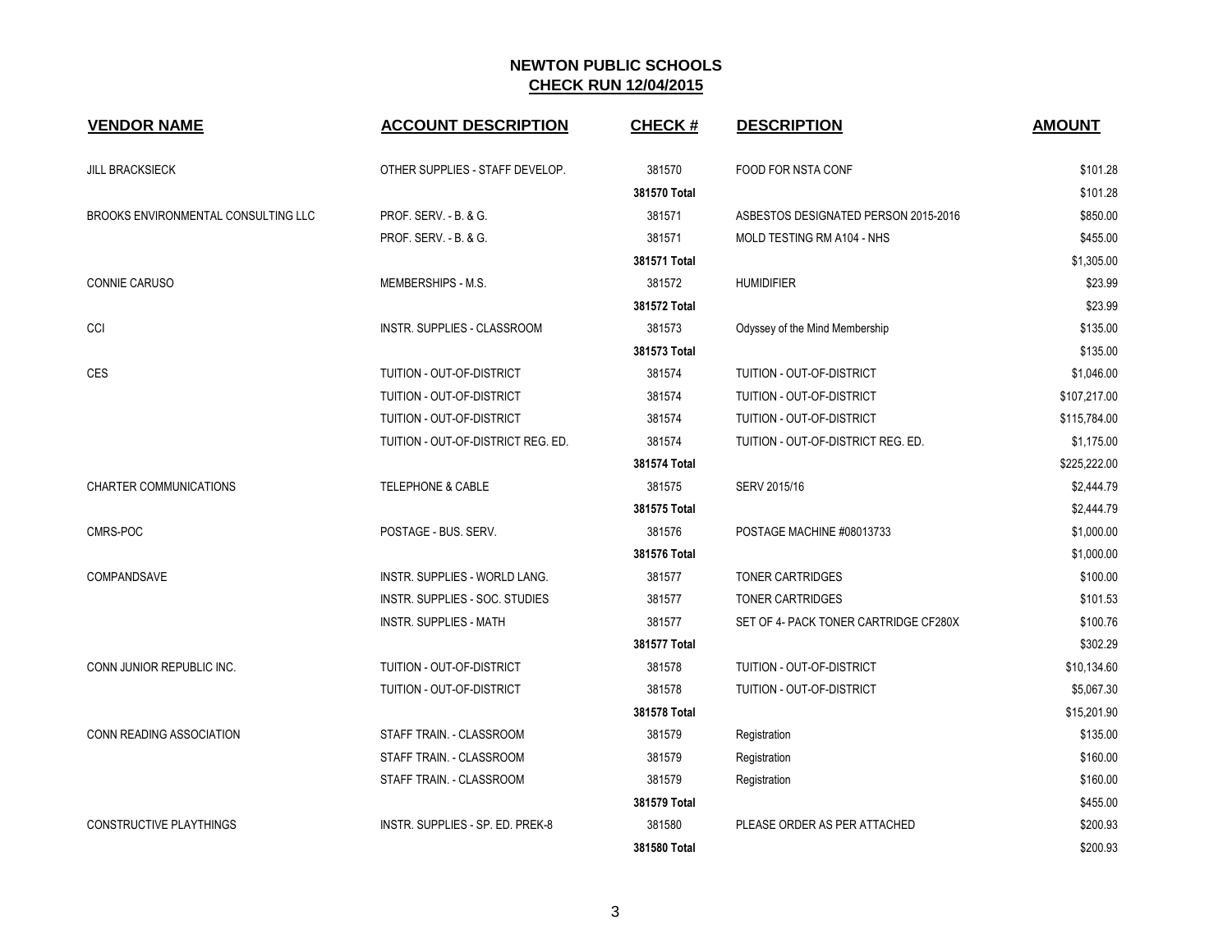| <b>VENDOR NAME</b>                  | <b>ACCOUNT DESCRIPTION</b>         | <b>CHECK#</b> | <b>DESCRIPTION</b>                    | <b>AMOUNT</b> |
|-------------------------------------|------------------------------------|---------------|---------------------------------------|---------------|
| <b>JILL BRACKSIECK</b>              | OTHER SUPPLIES - STAFF DEVELOP.    | 381570        | FOOD FOR NSTA CONF                    | \$101.28      |
|                                     |                                    | 381570 Total  |                                       | \$101.28      |
| BROOKS ENVIRONMENTAL CONSULTING LLC | <b>PROF. SERV. - B. &amp; G.</b>   | 381571        | ASBESTOS DESIGNATED PERSON 2015-2016  | \$850.00      |
|                                     | PROF. SERV. - B. & G.              | 381571        | MOLD TESTING RM A104 - NHS            | \$455.00      |
|                                     |                                    | 381571 Total  |                                       | \$1,305.00    |
| CONNIE CARUSO                       | MEMBERSHIPS - M.S.                 | 381572        | <b>HUMIDIFIER</b>                     | \$23.99       |
|                                     |                                    | 381572 Total  |                                       | \$23.99       |
| CCI                                 | INSTR. SUPPLIES - CLASSROOM        | 381573        | Odyssey of the Mind Membership        | \$135.00      |
|                                     |                                    | 381573 Total  |                                       | \$135.00      |
| <b>CES</b>                          | TUITION - OUT-OF-DISTRICT          | 381574        | TUITION - OUT-OF-DISTRICT             | \$1,046.00    |
|                                     | TUITION - OUT-OF-DISTRICT          | 381574        | TUITION - OUT-OF-DISTRICT             | \$107,217.00  |
|                                     | TUITION - OUT-OF-DISTRICT          | 381574        | TUITION - OUT-OF-DISTRICT             | \$115,784.00  |
|                                     | TUITION - OUT-OF-DISTRICT REG. ED. | 381574        | TUITION - OUT-OF-DISTRICT REG. ED.    | \$1,175.00    |
|                                     |                                    | 381574 Total  |                                       | \$225,222.00  |
| <b>CHARTER COMMUNICATIONS</b>       | <b>TELEPHONE &amp; CABLE</b>       | 381575        | SERV 2015/16                          | \$2,444.79    |
|                                     |                                    | 381575 Total  |                                       | \$2,444.79    |
| CMRS-POC                            | POSTAGE - BUS. SERV.               | 381576        | POSTAGE MACHINE #08013733             | \$1,000.00    |
|                                     |                                    | 381576 Total  |                                       | \$1,000.00    |
| COMPANDSAVE                         | INSTR. SUPPLIES - WORLD LANG.      | 381577        | <b>TONER CARTRIDGES</b>               | \$100.00      |
|                                     | INSTR. SUPPLIES - SOC. STUDIES     | 381577        | TONER CARTRIDGES                      | \$101.53      |
|                                     | INSTR. SUPPLIES - MATH             | 381577        | SET OF 4- PACK TONER CARTRIDGE CF280X | \$100.76      |
|                                     |                                    | 381577 Total  |                                       | \$302.29      |
| CONN JUNIOR REPUBLIC INC.           | TUITION - OUT-OF-DISTRICT          | 381578        | TUITION - OUT-OF-DISTRICT             | \$10,134.60   |
|                                     | TUITION - OUT-OF-DISTRICT          | 381578        | TUITION - OUT-OF-DISTRICT             | \$5,067.30    |
|                                     |                                    | 381578 Total  |                                       | \$15,201.90   |
| <b>CONN READING ASSOCIATION</b>     | STAFF TRAIN. - CLASSROOM           | 381579        | Registration                          | \$135.00      |
|                                     | STAFF TRAIN. - CLASSROOM           | 381579        | Registration                          | \$160.00      |
|                                     | STAFF TRAIN. - CLASSROOM           | 381579        | Registration                          | \$160.00      |
|                                     |                                    | 381579 Total  |                                       | \$455.00      |
| <b>CONSTRUCTIVE PLAYTHINGS</b>      | INSTR. SUPPLIES - SP. ED. PREK-8   | 381580        | PLEASE ORDER AS PER ATTACHED          | \$200.93      |
|                                     |                                    | 381580 Total  |                                       | \$200.93      |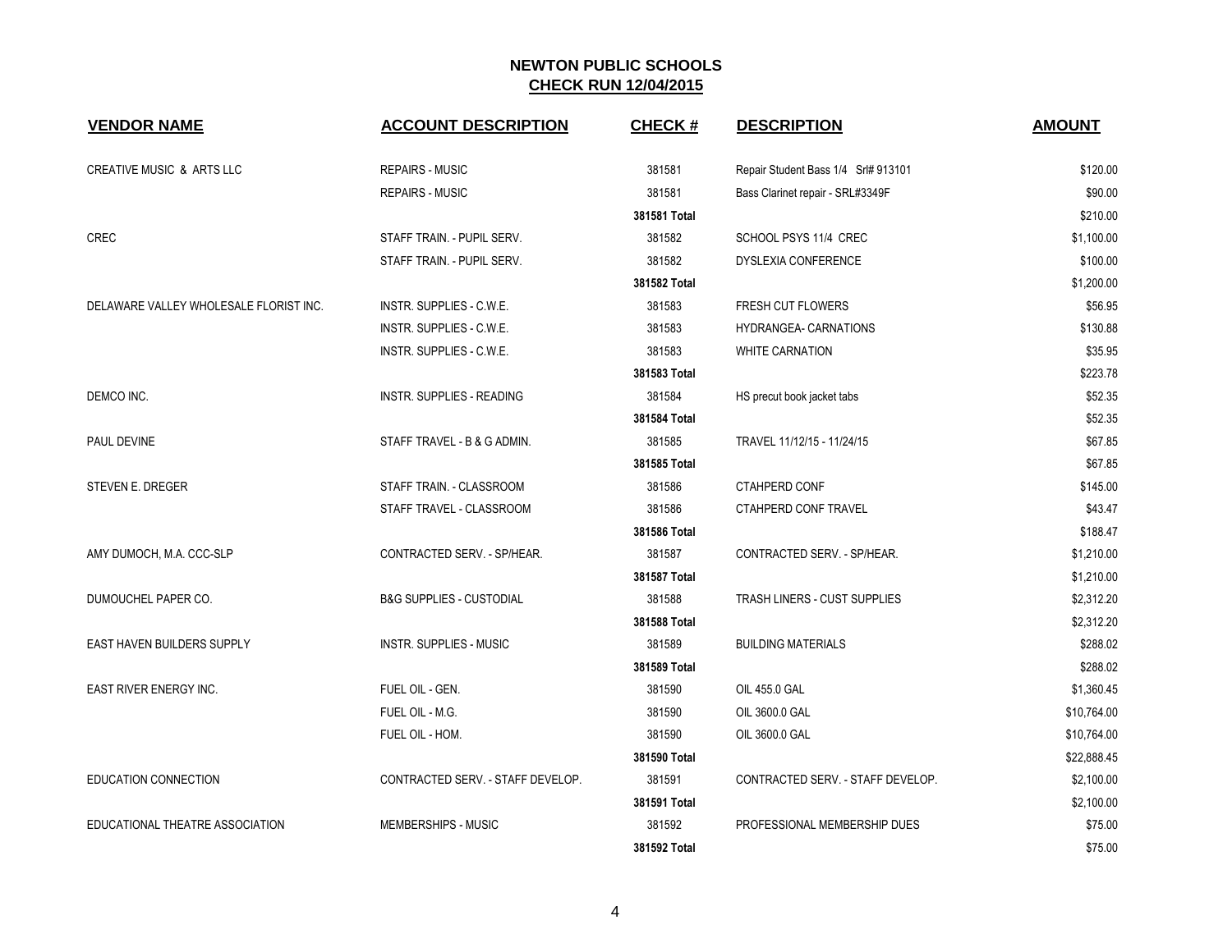| <b>VENDOR NAME</b>                     | <b>ACCOUNT DESCRIPTION</b>          | <b>CHECK#</b> | <b>DESCRIPTION</b>                  | <b>AMOUNT</b> |
|----------------------------------------|-------------------------------------|---------------|-------------------------------------|---------------|
| <b>CREATIVE MUSIC &amp; ARTS LLC</b>   | <b>REPAIRS - MUSIC</b>              | 381581        | Repair Student Bass 1/4 Srl# 913101 | \$120.00      |
|                                        | <b>REPAIRS - MUSIC</b>              | 381581        | Bass Clarinet repair - SRL#3349F    | \$90.00       |
|                                        |                                     | 381581 Total  |                                     | \$210.00      |
| <b>CREC</b>                            | STAFF TRAIN. - PUPIL SERV.          | 381582        | SCHOOL PSYS 11/4 CREC               | \$1,100.00    |
|                                        | STAFF TRAIN. - PUPIL SERV.          | 381582        | <b>DYSLEXIA CONFERENCE</b>          | \$100.00      |
|                                        |                                     | 381582 Total  |                                     | \$1,200.00    |
| DELAWARE VALLEY WHOLESALE FLORIST INC. | INSTR. SUPPLIES - C.W.E.            | 381583        | <b>FRESH CUT FLOWERS</b>            | \$56.95       |
|                                        | INSTR. SUPPLIES - C.W.E.            | 381583        | HYDRANGEA- CARNATIONS               | \$130.88      |
|                                        | INSTR. SUPPLIES - C.W.E.            | 381583        | <b>WHITE CARNATION</b>              | \$35.95       |
|                                        |                                     | 381583 Total  |                                     | \$223.78      |
| DEMCO INC.                             | <b>INSTR. SUPPLIES - READING</b>    | 381584        | HS precut book jacket tabs          | \$52.35       |
|                                        |                                     | 381584 Total  |                                     | \$52.35       |
| PAUL DEVINE                            | STAFF TRAVEL - B & G ADMIN.         | 381585        | TRAVEL 11/12/15 - 11/24/15          | \$67.85       |
|                                        |                                     | 381585 Total  |                                     | \$67.85       |
| STEVEN E. DREGER                       | STAFF TRAIN. - CLASSROOM            | 381586        | <b>CTAHPERD CONF</b>                | \$145.00      |
|                                        | STAFF TRAVEL - CLASSROOM            | 381586        | CTAHPERD CONF TRAVEL                | \$43.47       |
|                                        |                                     | 381586 Total  |                                     | \$188.47      |
| AMY DUMOCH, M.A. CCC-SLP               | CONTRACTED SERV. - SP/HEAR.         | 381587        | CONTRACTED SERV. - SP/HEAR.         | \$1,210.00    |
|                                        |                                     | 381587 Total  |                                     | \$1,210.00    |
| DUMOUCHEL PAPER CO.                    | <b>B&amp;G SUPPLIES - CUSTODIAL</b> | 381588        | TRASH LINERS - CUST SUPPLIES        | \$2,312.20    |
|                                        |                                     | 381588 Total  |                                     | \$2,312.20    |
| EAST HAVEN BUILDERS SUPPLY             | <b>INSTR. SUPPLIES - MUSIC</b>      | 381589        | <b>BUILDING MATERIALS</b>           | \$288.02      |
|                                        |                                     | 381589 Total  |                                     | \$288.02      |
| EAST RIVER ENERGY INC.                 | FUEL OIL - GEN.                     | 381590        | OIL 455.0 GAL                       | \$1,360.45    |
|                                        | FUEL OIL - M.G.                     | 381590        | OIL 3600.0 GAL                      | \$10,764.00   |
|                                        | FUEL OIL - HOM.                     | 381590        | OIL 3600.0 GAL                      | \$10,764.00   |
|                                        |                                     | 381590 Total  |                                     | \$22,888.45   |
| EDUCATION CONNECTION                   | CONTRACTED SERV. - STAFF DEVELOP.   | 381591        | CONTRACTED SERV. - STAFF DEVELOP.   | \$2,100.00    |
|                                        |                                     | 381591 Total  |                                     | \$2,100.00    |
| EDUCATIONAL THEATRE ASSOCIATION        | MEMBERSHIPS - MUSIC                 | 381592        | PROFESSIONAL MEMBERSHIP DUES        | \$75.00       |
|                                        |                                     | 381592 Total  |                                     | \$75.00       |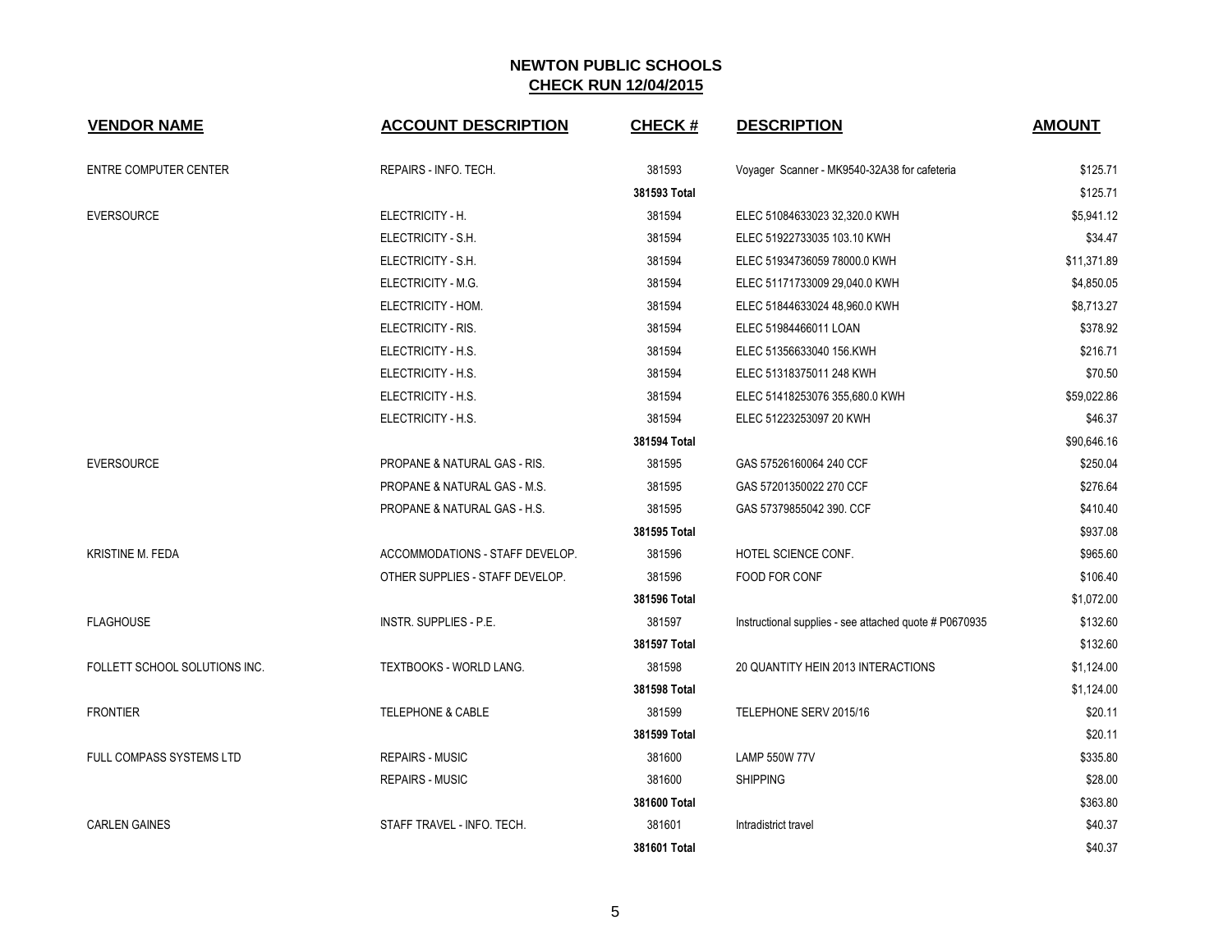| <b>VENDOR NAME</b>            | <b>ACCOUNT DESCRIPTION</b>      | <b>CHECK#</b> | <b>DESCRIPTION</b>                                     | <b>AMOUNT</b> |
|-------------------------------|---------------------------------|---------------|--------------------------------------------------------|---------------|
| ENTRE COMPUTER CENTER         | REPAIRS - INFO. TECH.           | 381593        | Voyager Scanner - MK9540-32A38 for cafeteria           | \$125.71      |
|                               |                                 | 381593 Total  |                                                        | \$125.71      |
| <b>EVERSOURCE</b>             | ELECTRICITY - H.                | 381594        | ELEC 51084633023 32,320.0 KWH                          | \$5,941.12    |
|                               | ELECTRICITY - S.H.              | 381594        | ELEC 51922733035 103.10 KWH                            | \$34.47       |
|                               | ELECTRICITY - S.H.              | 381594        | ELEC 51934736059 78000.0 KWH                           | \$11,371.89   |
|                               | ELECTRICITY - M.G.              | 381594        | ELEC 51171733009 29,040.0 KWH                          | \$4,850.05    |
|                               | ELECTRICITY - HOM.              | 381594        | ELEC 51844633024 48,960.0 KWH                          | \$8,713.27    |
|                               | ELECTRICITY - RIS.              | 381594        | ELEC 51984466011 LOAN                                  | \$378.92      |
|                               | ELECTRICITY - H.S.              | 381594        | ELEC 51356633040 156.KWH                               | \$216.71      |
|                               | ELECTRICITY - H.S.              | 381594        | ELEC 51318375011 248 KWH                               | \$70.50       |
|                               | ELECTRICITY - H.S.              | 381594        | ELEC 51418253076 355,680.0 KWH                         | \$59,022.86   |
|                               | ELECTRICITY - H.S.              | 381594        | ELEC 51223253097 20 KWH                                | \$46.37       |
|                               |                                 | 381594 Total  |                                                        | \$90,646.16   |
| <b>EVERSOURCE</b>             | PROPANE & NATURAL GAS - RIS.    | 381595        | GAS 57526160064 240 CCF                                | \$250.04      |
|                               | PROPANE & NATURAL GAS - M.S.    | 381595        | GAS 57201350022 270 CCF                                | \$276.64      |
|                               | PROPANE & NATURAL GAS - H.S.    | 381595        | GAS 57379855042 390. CCF                               | \$410.40      |
|                               |                                 | 381595 Total  |                                                        | \$937.08      |
| <b>KRISTINE M. FEDA</b>       | ACCOMMODATIONS - STAFF DEVELOP. | 381596        | HOTEL SCIENCE CONF.                                    | \$965.60      |
|                               | OTHER SUPPLIES - STAFF DEVELOP. | 381596        | FOOD FOR CONF                                          | \$106.40      |
|                               |                                 | 381596 Total  |                                                        | \$1,072.00    |
| <b>FLAGHOUSE</b>              | INSTR. SUPPLIES - P.E.          | 381597        | Instructional supplies - see attached quote # P0670935 | \$132.60      |
|                               |                                 | 381597 Total  |                                                        | \$132.60      |
| FOLLETT SCHOOL SOLUTIONS INC. | TEXTBOOKS - WORLD LANG.         | 381598        | 20 QUANTITY HEIN 2013 INTERACTIONS                     | \$1,124.00    |
|                               |                                 | 381598 Total  |                                                        | \$1,124.00    |
| <b>FRONTIER</b>               | <b>TELEPHONE &amp; CABLE</b>    | 381599        | TELEPHONE SERV 2015/16                                 | \$20.11       |
|                               |                                 | 381599 Total  |                                                        | \$20.11       |
| FULL COMPASS SYSTEMS LTD      | <b>REPAIRS - MUSIC</b>          | 381600        | <b>LAMP 550W 77V</b>                                   | \$335.80      |
|                               | <b>REPAIRS - MUSIC</b>          | 381600        | <b>SHIPPING</b>                                        | \$28.00       |
|                               |                                 | 381600 Total  |                                                        | \$363.80      |
| <b>CARLEN GAINES</b>          | STAFF TRAVEL - INFO. TECH.      | 381601        | Intradistrict travel                                   | \$40.37       |
|                               |                                 | 381601 Total  |                                                        | \$40.37       |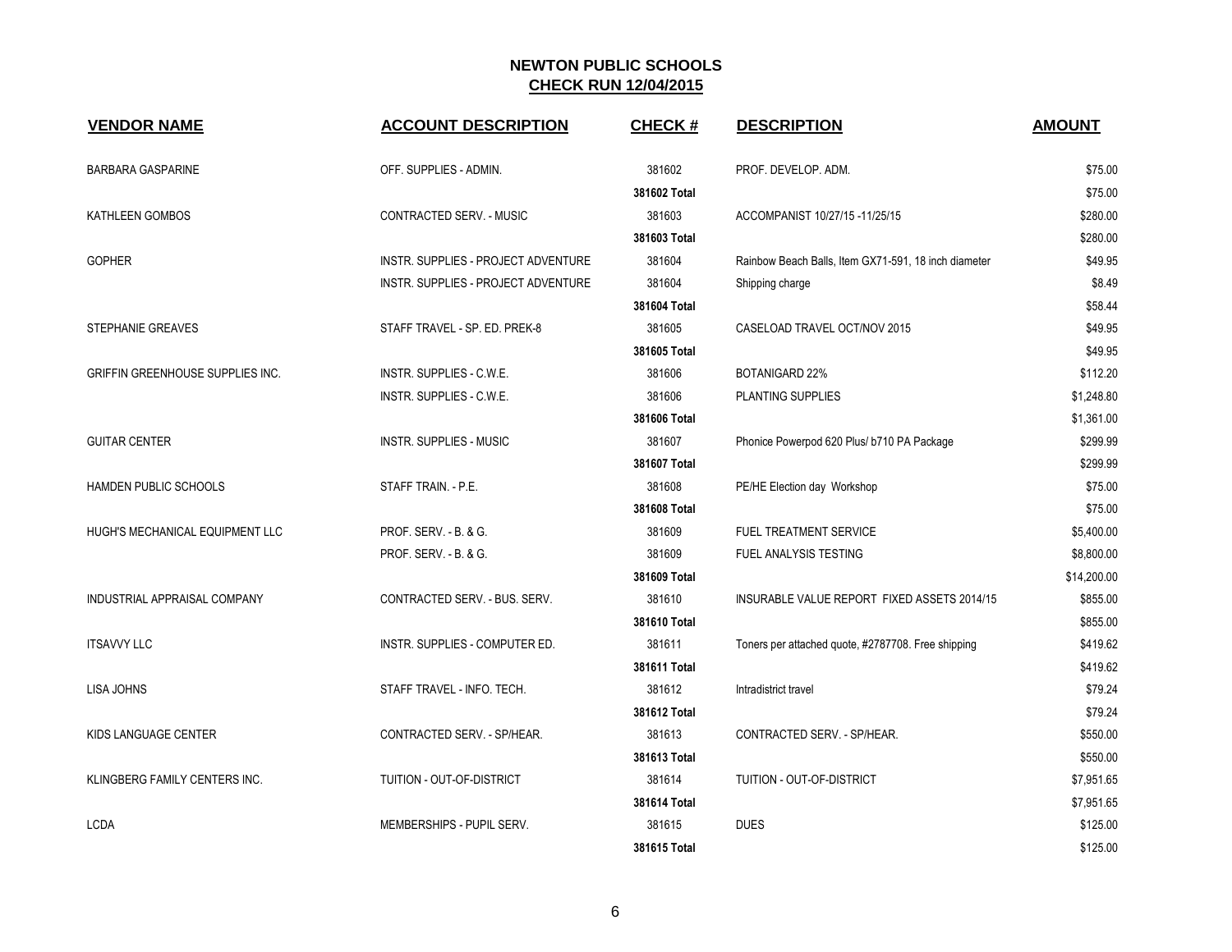| <b>VENDOR NAME</b>               | <b>ACCOUNT DESCRIPTION</b>          | <b>CHECK#</b> | <b>DESCRIPTION</b>                                   | <b>AMOUNT</b> |
|----------------------------------|-------------------------------------|---------------|------------------------------------------------------|---------------|
| <b>BARBARA GASPARINE</b>         | OFF. SUPPLIES - ADMIN.              | 381602        | PROF. DEVELOP. ADM.                                  | \$75.00       |
|                                  |                                     | 381602 Total  |                                                      | \$75.00       |
| KATHLEEN GOMBOS                  | CONTRACTED SERV. - MUSIC            | 381603        | ACCOMPANIST 10/27/15 -11/25/15                       | \$280.00      |
|                                  |                                     | 381603 Total  |                                                      | \$280.00      |
| <b>GOPHER</b>                    | INSTR. SUPPLIES - PROJECT ADVENTURE | 381604        | Rainbow Beach Balls, Item GX71-591, 18 inch diameter | \$49.95       |
|                                  | INSTR. SUPPLIES - PROJECT ADVENTURE | 381604        | Shipping charge                                      | \$8.49        |
|                                  |                                     | 381604 Total  |                                                      | \$58.44       |
| <b>STEPHANIE GREAVES</b>         | STAFF TRAVEL - SP. ED. PREK-8       | 381605        | CASELOAD TRAVEL OCT/NOV 2015                         | \$49.95       |
|                                  |                                     | 381605 Total  |                                                      | \$49.95       |
| GRIFFIN GREENHOUSE SUPPLIES INC. | INSTR. SUPPLIES - C.W.E.            | 381606        | <b>BOTANIGARD 22%</b>                                | \$112.20      |
|                                  | INSTR. SUPPLIES - C.W.E.            | 381606        | PLANTING SUPPLIES                                    | \$1,248.80    |
|                                  |                                     | 381606 Total  |                                                      | \$1,361.00    |
| <b>GUITAR CENTER</b>             | <b>INSTR. SUPPLIES - MUSIC</b>      | 381607        | Phonice Powerpod 620 Plus/ b710 PA Package           | \$299.99      |
|                                  |                                     | 381607 Total  |                                                      | \$299.99      |
| <b>HAMDEN PUBLIC SCHOOLS</b>     | STAFF TRAIN. - P.E.                 | 381608        | PE/HE Election day Workshop                          | \$75.00       |
|                                  |                                     | 381608 Total  |                                                      | \$75.00       |
| HUGH'S MECHANICAL EQUIPMENT LLC  | PROF. SERV. - B. & G.               | 381609        | <b>FUEL TREATMENT SERVICE</b>                        | \$5,400.00    |
|                                  | PROF. SERV. - B. & G.               | 381609        | FUEL ANALYSIS TESTING                                | \$8,800.00    |
|                                  |                                     | 381609 Total  |                                                      | \$14,200.00   |
| INDUSTRIAL APPRAISAL COMPANY     | CONTRACTED SERV. - BUS. SERV.       | 381610        | INSURABLE VALUE REPORT FIXED ASSETS 2014/15          | \$855.00      |
|                                  |                                     | 381610 Total  |                                                      | \$855.00      |
| <b>ITSAVVY LLC</b>               | INSTR. SUPPLIES - COMPUTER ED.      | 381611        | Toners per attached quote, #2787708. Free shipping   | \$419.62      |
|                                  |                                     | 381611 Total  |                                                      | \$419.62      |
| <b>LISA JOHNS</b>                | STAFF TRAVEL - INFO. TECH.          | 381612        | Intradistrict travel                                 | \$79.24       |
|                                  |                                     | 381612 Total  |                                                      | \$79.24       |
| KIDS LANGUAGE CENTER             | CONTRACTED SERV. - SP/HEAR.         | 381613        | CONTRACTED SERV. - SP/HEAR.                          | \$550.00      |
|                                  |                                     | 381613 Total  |                                                      | \$550.00      |
| KLINGBERG FAMILY CENTERS INC.    | TUITION - OUT-OF-DISTRICT           | 381614        | TUITION - OUT-OF-DISTRICT                            | \$7,951.65    |
|                                  |                                     | 381614 Total  |                                                      | \$7,951.65    |
| <b>LCDA</b>                      | MEMBERSHIPS - PUPIL SERV.           | 381615        | <b>DUES</b>                                          | \$125.00      |
|                                  |                                     | 381615 Total  |                                                      | \$125.00      |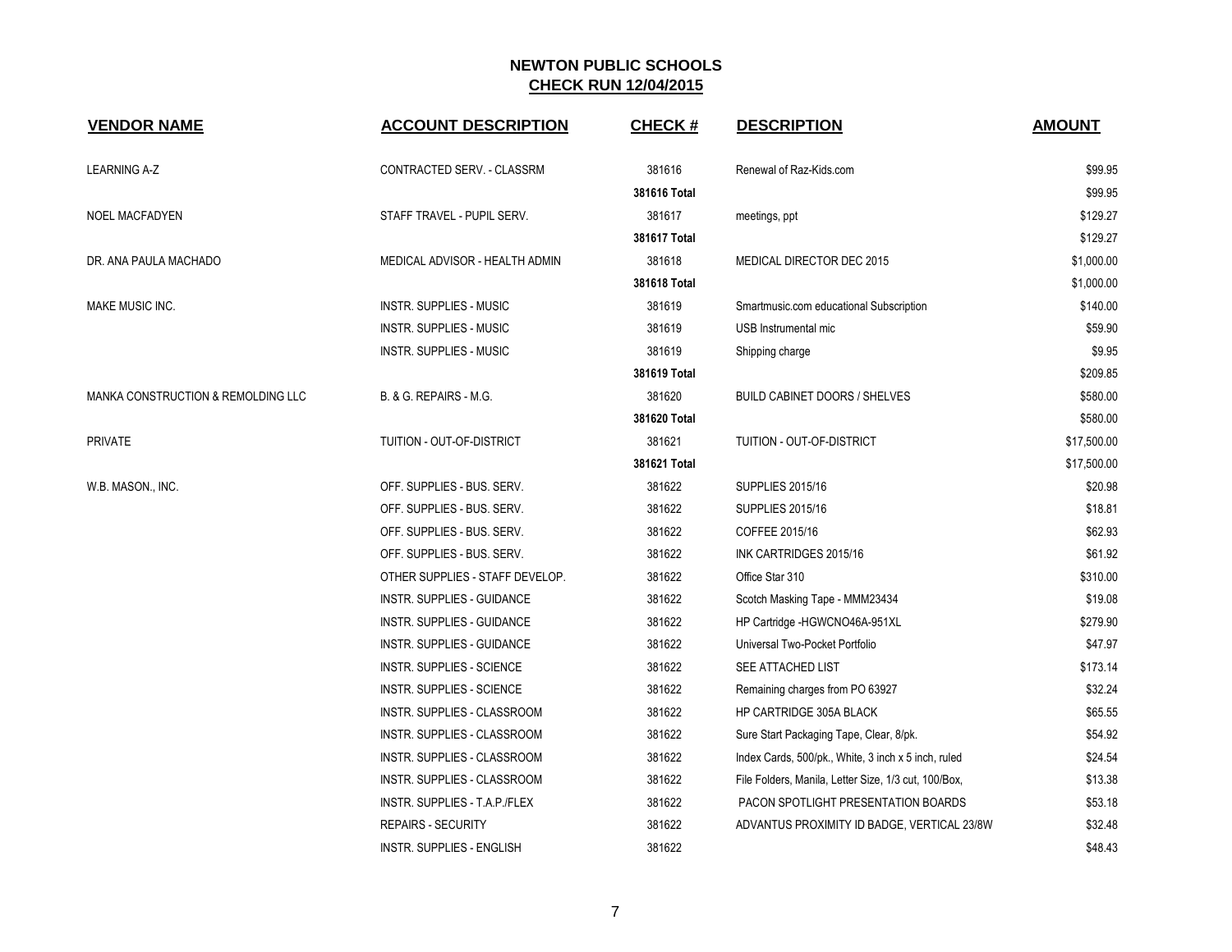| <b>VENDOR NAME</b>                 | <b>ACCOUNT DESCRIPTION</b>       | <b>CHECK#</b> | <b>DESCRIPTION</b>                                   | <b>AMOUNT</b> |
|------------------------------------|----------------------------------|---------------|------------------------------------------------------|---------------|
| <b>LEARNING A-Z</b>                | CONTRACTED SERV. - CLASSRM       | 381616        | Renewal of Raz-Kids.com                              | \$99.95       |
|                                    |                                  | 381616 Total  |                                                      | \$99.95       |
| NOEL MACFADYEN                     | STAFF TRAVEL - PUPIL SERV.       | 381617        | meetings, ppt                                        | \$129.27      |
|                                    |                                  | 381617 Total  |                                                      | \$129.27      |
| DR. ANA PAULA MACHADO              | MEDICAL ADVISOR - HEALTH ADMIN   | 381618        | MEDICAL DIRECTOR DEC 2015                            | \$1,000.00    |
|                                    |                                  | 381618 Total  |                                                      | \$1,000.00    |
| <b>MAKE MUSIC INC.</b>             | <b>INSTR. SUPPLIES - MUSIC</b>   | 381619        | Smartmusic.com educational Subscription              | \$140.00      |
|                                    | <b>INSTR. SUPPLIES - MUSIC</b>   | 381619        | USB Instrumental mic                                 | \$59.90       |
|                                    | <b>INSTR. SUPPLIES - MUSIC</b>   | 381619        | Shipping charge                                      | \$9.95        |
|                                    |                                  | 381619 Total  |                                                      | \$209.85      |
| MANKA CONSTRUCTION & REMOLDING LLC | B. & G. REPAIRS - M.G.           | 381620        | <b>BUILD CABINET DOORS / SHELVES</b>                 | \$580.00      |
|                                    |                                  | 381620 Total  |                                                      | \$580.00      |
| <b>PRIVATE</b>                     | TUITION - OUT-OF-DISTRICT        | 381621        | TUITION - OUT-OF-DISTRICT                            | \$17,500.00   |
|                                    |                                  | 381621 Total  |                                                      | \$17,500.00   |
| W.B. MASON., INC.                  | OFF. SUPPLIES - BUS. SERV.       | 381622        | <b>SUPPLIES 2015/16</b>                              | \$20.98       |
|                                    | OFF. SUPPLIES - BUS. SERV.       | 381622        | <b>SUPPLIES 2015/16</b>                              | \$18.81       |
|                                    | OFF. SUPPLIES - BUS. SERV.       | 381622        | COFFEE 2015/16                                       | \$62.93       |
|                                    | OFF. SUPPLIES - BUS. SERV.       | 381622        | INK CARTRIDGES 2015/16                               | \$61.92       |
|                                    | OTHER SUPPLIES - STAFF DEVELOP.  | 381622        | Office Star 310                                      | \$310.00      |
|                                    | INSTR. SUPPLIES - GUIDANCE       | 381622        | Scotch Masking Tape - MMM23434                       | \$19.08       |
|                                    | INSTR. SUPPLIES - GUIDANCE       | 381622        | HP Cartridge -HGWCNO46A-951XL                        | \$279.90      |
|                                    | INSTR. SUPPLIES - GUIDANCE       | 381622        | Universal Two-Pocket Portfolio                       | \$47.97       |
|                                    | <b>INSTR. SUPPLIES - SCIENCE</b> | 381622        | SEE ATTACHED LIST                                    | \$173.14      |
|                                    | <b>INSTR. SUPPLIES - SCIENCE</b> | 381622        | Remaining charges from PO 63927                      | \$32.24       |
|                                    | INSTR. SUPPLIES - CLASSROOM      | 381622        | HP CARTRIDGE 305A BLACK                              | \$65.55       |
|                                    | INSTR. SUPPLIES - CLASSROOM      | 381622        | Sure Start Packaging Tape, Clear, 8/pk.              | \$54.92       |
|                                    | INSTR. SUPPLIES - CLASSROOM      | 381622        | Index Cards, 500/pk., White, 3 inch x 5 inch, ruled  | \$24.54       |
|                                    | INSTR. SUPPLIES - CLASSROOM      | 381622        | File Folders, Manila, Letter Size, 1/3 cut, 100/Box, | \$13.38       |
|                                    | INSTR. SUPPLIES - T.A.P./FLEX    | 381622        | PACON SPOTLIGHT PRESENTATION BOARDS                  | \$53.18       |
|                                    | <b>REPAIRS - SECURITY</b>        | 381622        | ADVANTUS PROXIMITY ID BADGE, VERTICAL 23/8W          | \$32.48       |
|                                    | INSTR. SUPPLIES - ENGLISH        | 381622        |                                                      | \$48.43       |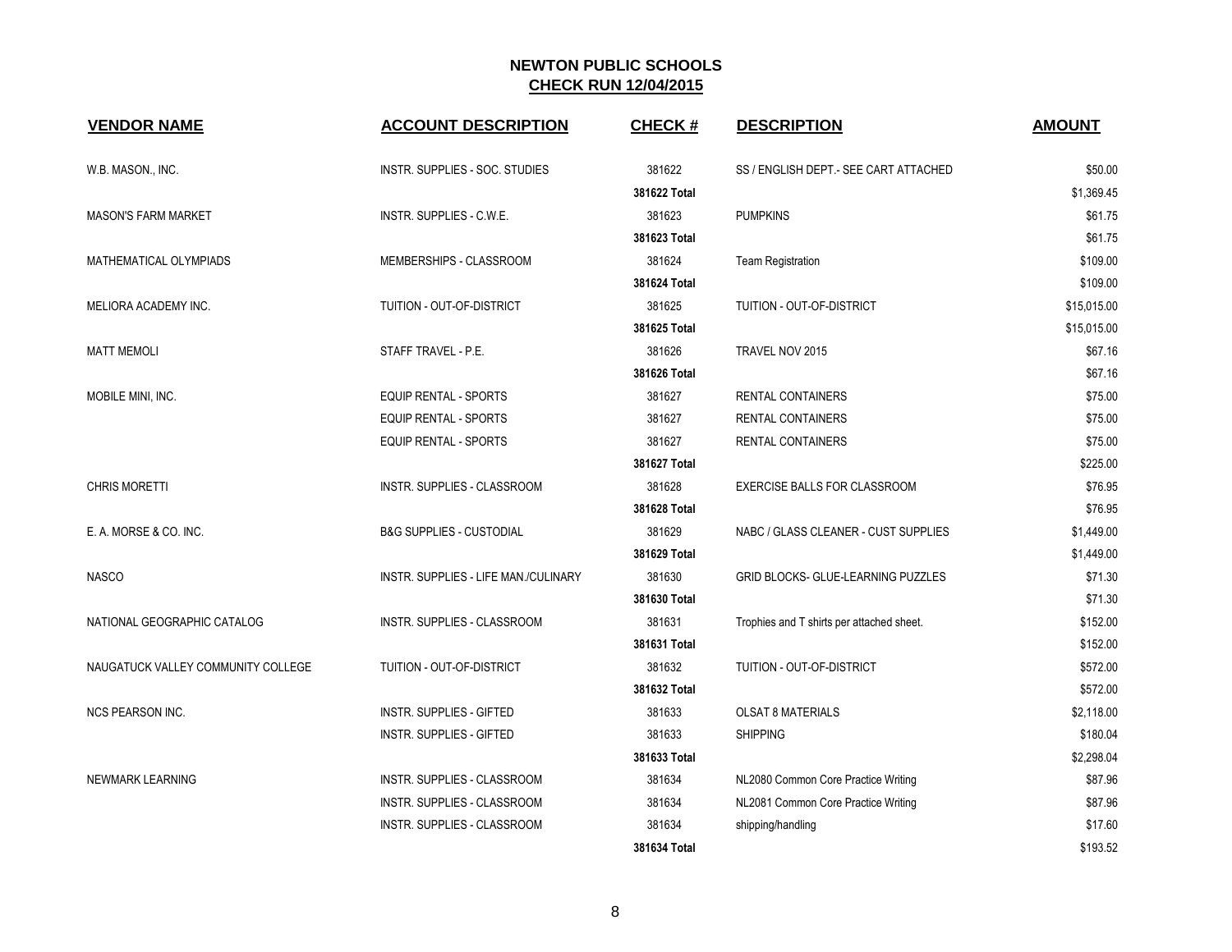| <b>VENDOR NAME</b>                 | <b>ACCOUNT DESCRIPTION</b>           | <b>CHECK#</b> | <b>DESCRIPTION</b>                        | <b>AMOUNT</b> |
|------------------------------------|--------------------------------------|---------------|-------------------------------------------|---------------|
| W.B. MASON., INC.                  | INSTR. SUPPLIES - SOC. STUDIES       | 381622        | SS / ENGLISH DEPT - SEE CART ATTACHED     | \$50.00       |
|                                    |                                      | 381622 Total  |                                           | \$1,369.45    |
| <b>MASON'S FARM MARKET</b>         | INSTR. SUPPLIES - C.W.E.             | 381623        | <b>PUMPKINS</b>                           | \$61.75       |
|                                    |                                      | 381623 Total  |                                           | \$61.75       |
| MATHEMATICAL OLYMPIADS             | MEMBERSHIPS - CLASSROOM              | 381624        | <b>Team Registration</b>                  | \$109.00      |
|                                    |                                      | 381624 Total  |                                           | \$109.00      |
| MELIORA ACADEMY INC.               | TUITION - OUT-OF-DISTRICT            | 381625        | TUITION - OUT-OF-DISTRICT                 | \$15,015.00   |
|                                    |                                      | 381625 Total  |                                           | \$15,015.00   |
| <b>MATT MEMOLI</b>                 | STAFF TRAVEL - P.E.                  | 381626        | TRAVEL NOV 2015                           | \$67.16       |
|                                    |                                      | 381626 Total  |                                           | \$67.16       |
| MOBILE MINI, INC.                  | EQUIP RENTAL - SPORTS                | 381627        | <b>RENTAL CONTAINERS</b>                  | \$75.00       |
|                                    | <b>EQUIP RENTAL - SPORTS</b>         | 381627        | <b>RENTAL CONTAINERS</b>                  | \$75.00       |
|                                    | EQUIP RENTAL - SPORTS                | 381627        | <b>RENTAL CONTAINERS</b>                  | \$75.00       |
|                                    |                                      | 381627 Total  |                                           | \$225.00      |
| <b>CHRIS MORETTI</b>               | INSTR. SUPPLIES - CLASSROOM          | 381628        | EXERCISE BALLS FOR CLASSROOM              | \$76.95       |
|                                    |                                      | 381628 Total  |                                           | \$76.95       |
| E. A. MORSE & CO. INC.             | <b>B&amp;G SUPPLIES - CUSTODIAL</b>  | 381629        | NABC / GLASS CLEANER - CUST SUPPLIES      | \$1,449.00    |
|                                    |                                      | 381629 Total  |                                           | \$1,449.00    |
| <b>NASCO</b>                       | INSTR. SUPPLIES - LIFE MAN./CULINARY | 381630        | GRID BLOCKS- GLUE-LEARNING PUZZLES        | \$71.30       |
|                                    |                                      | 381630 Total  |                                           | \$71.30       |
| NATIONAL GEOGRAPHIC CATALOG        | INSTR. SUPPLIES - CLASSROOM          | 381631        | Trophies and T shirts per attached sheet. | \$152.00      |
|                                    |                                      | 381631 Total  |                                           | \$152.00      |
| NAUGATUCK VALLEY COMMUNITY COLLEGE | TUITION - OUT-OF-DISTRICT            | 381632        | TUITION - OUT-OF-DISTRICT                 | \$572.00      |
|                                    |                                      | 381632 Total  |                                           | \$572.00      |
| <b>NCS PEARSON INC.</b>            | INSTR. SUPPLIES - GIFTED             | 381633        | <b>OLSAT 8 MATERIALS</b>                  | \$2,118.00    |
|                                    | INSTR. SUPPLIES - GIFTED             | 381633        | <b>SHIPPING</b>                           | \$180.04      |
|                                    |                                      | 381633 Total  |                                           | \$2,298.04    |
| NEWMARK LEARNING                   | INSTR. SUPPLIES - CLASSROOM          | 381634        | NL2080 Common Core Practice Writing       | \$87.96       |
|                                    | INSTR. SUPPLIES - CLASSROOM          | 381634        | NL2081 Common Core Practice Writing       | \$87.96       |
|                                    | INSTR. SUPPLIES - CLASSROOM          | 381634        | shipping/handling                         | \$17.60       |
|                                    |                                      | 381634 Total  |                                           | \$193.52      |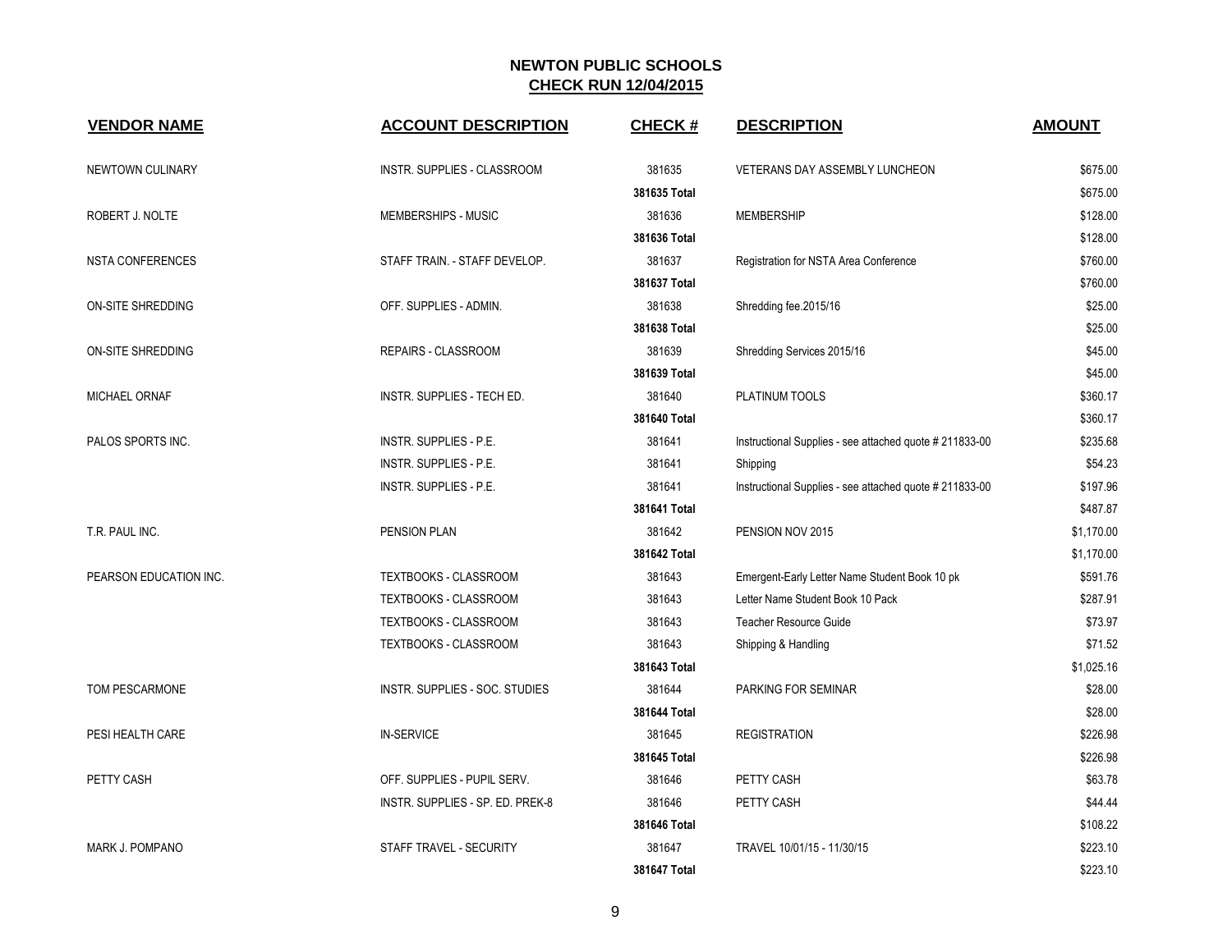| <b>VENDOR NAME</b>     | <b>ACCOUNT DESCRIPTION</b>       | <b>CHECK#</b> | <b>DESCRIPTION</b>                                      | <b>AMOUNT</b> |
|------------------------|----------------------------------|---------------|---------------------------------------------------------|---------------|
| NEWTOWN CULINARY       | INSTR. SUPPLIES - CLASSROOM      | 381635        | VETERANS DAY ASSEMBLY LUNCHEON                          | \$675.00      |
|                        |                                  | 381635 Total  |                                                         | \$675.00      |
| ROBERT J. NOLTE        | MEMBERSHIPS - MUSIC              | 381636        | <b>MEMBERSHIP</b>                                       | \$128.00      |
|                        |                                  | 381636 Total  |                                                         | \$128.00      |
| NSTA CONFERENCES       | STAFF TRAIN. - STAFF DEVELOP.    | 381637        | Registration for NSTA Area Conference                   | \$760.00      |
|                        |                                  | 381637 Total  |                                                         | \$760.00      |
| ON-SITE SHREDDING      | OFF. SUPPLIES - ADMIN.           | 381638        | Shredding fee.2015/16                                   | \$25.00       |
|                        |                                  | 381638 Total  |                                                         | \$25.00       |
| ON-SITE SHREDDING      | REPAIRS - CLASSROOM              | 381639        | Shredding Services 2015/16                              | \$45.00       |
|                        |                                  | 381639 Total  |                                                         | \$45.00       |
| <b>MICHAEL ORNAF</b>   | INSTR. SUPPLIES - TECH ED.       | 381640        | PLATINUM TOOLS                                          | \$360.17      |
|                        |                                  | 381640 Total  |                                                         | \$360.17      |
| PALOS SPORTS INC.      | INSTR. SUPPLIES - P.E.           | 381641        | Instructional Supplies - see attached quote # 211833-00 | \$235.68      |
|                        | INSTR. SUPPLIES - P.E.           | 381641        | Shipping                                                | \$54.23       |
|                        | INSTR. SUPPLIES - P.E.           | 381641        | Instructional Supplies - see attached quote # 211833-00 | \$197.96      |
|                        |                                  | 381641 Total  |                                                         | \$487.87      |
| T.R. PAUL INC.         | <b>PENSION PLAN</b>              | 381642        | PENSION NOV 2015                                        | \$1,170.00    |
|                        |                                  | 381642 Total  |                                                         | \$1,170.00    |
| PEARSON EDUCATION INC. | <b>TEXTBOOKS - CLASSROOM</b>     | 381643        | Emergent-Early Letter Name Student Book 10 pk           | \$591.76      |
|                        | TEXTBOOKS - CLASSROOM            | 381643        | Letter Name Student Book 10 Pack                        | \$287.91      |
|                        | TEXTBOOKS - CLASSROOM            | 381643        | <b>Teacher Resource Guide</b>                           | \$73.97       |
|                        | TEXTBOOKS - CLASSROOM            | 381643        | Shipping & Handling                                     | \$71.52       |
|                        |                                  | 381643 Total  |                                                         | \$1,025.16    |
| TOM PESCARMONE         | INSTR. SUPPLIES - SOC. STUDIES   | 381644        | PARKING FOR SEMINAR                                     | \$28.00       |
|                        |                                  | 381644 Total  |                                                         | \$28.00       |
| PESI HEALTH CARE       | <b>IN-SERVICE</b>                | 381645        | <b>REGISTRATION</b>                                     | \$226.98      |
|                        |                                  | 381645 Total  |                                                         | \$226.98      |
| PETTY CASH             | OFF. SUPPLIES - PUPIL SERV.      | 381646        | PETTY CASH                                              | \$63.78       |
|                        | INSTR. SUPPLIES - SP. ED. PREK-8 | 381646        | PETTY CASH                                              | \$44.44       |
|                        |                                  | 381646 Total  |                                                         | \$108.22      |
| <b>MARK J. POMPANO</b> | STAFF TRAVEL - SECURITY          | 381647        | TRAVEL 10/01/15 - 11/30/15                              | \$223.10      |
|                        |                                  | 381647 Total  |                                                         | \$223.10      |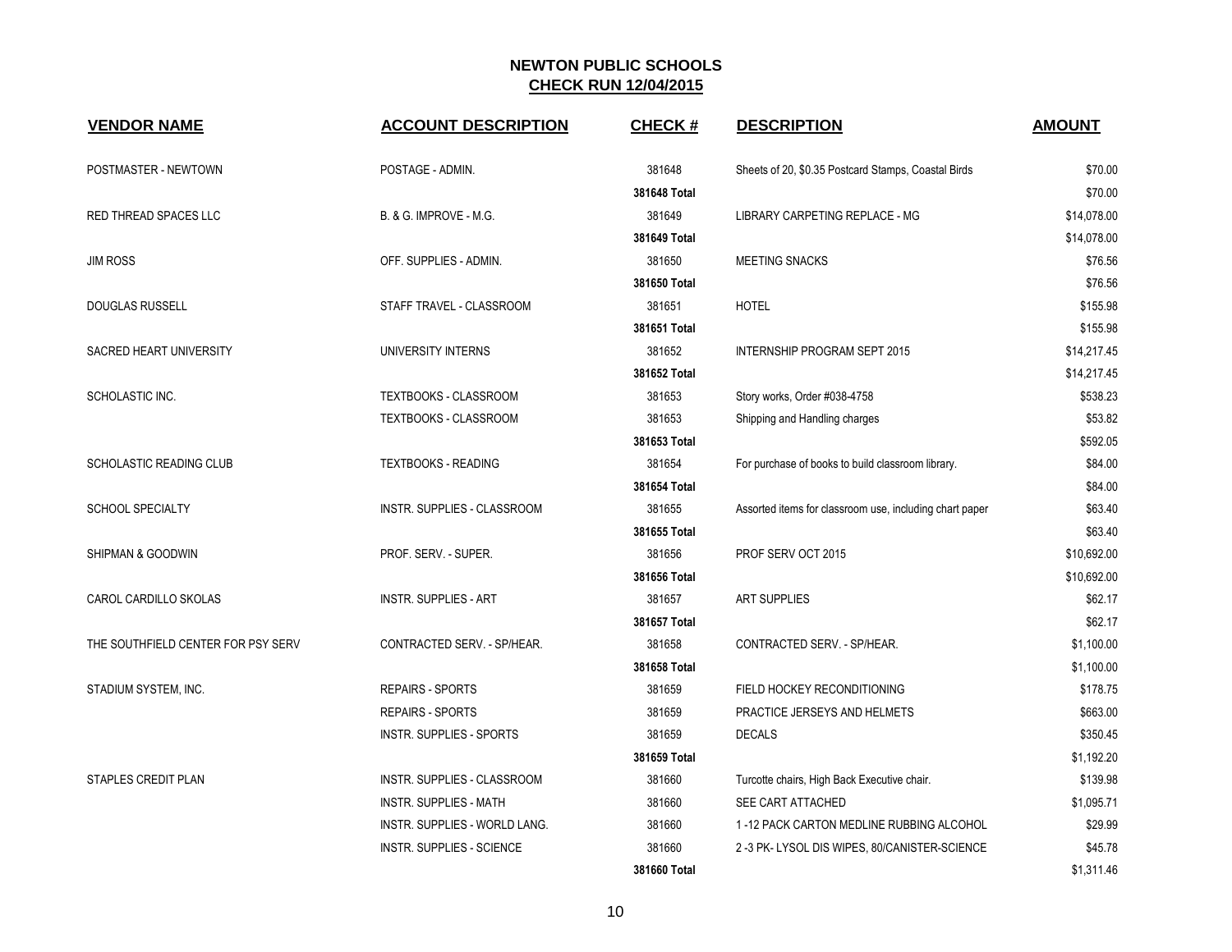| <b>VENDOR NAME</b>                 | <b>ACCOUNT DESCRIPTION</b>       | <b>CHECK#</b> | <b>DESCRIPTION</b>                                      | <b>AMOUNT</b> |
|------------------------------------|----------------------------------|---------------|---------------------------------------------------------|---------------|
| POSTMASTER - NEWTOWN               | POSTAGE - ADMIN.                 | 381648        | Sheets of 20, \$0.35 Postcard Stamps, Coastal Birds     | \$70.00       |
|                                    |                                  | 381648 Total  |                                                         | \$70.00       |
| RED THREAD SPACES LLC              | B. & G. IMPROVE - M.G.           | 381649        | LIBRARY CARPETING REPLACE - MG                          | \$14,078.00   |
|                                    |                                  | 381649 Total  |                                                         | \$14,078.00   |
| <b>JIM ROSS</b>                    | OFF. SUPPLIES - ADMIN.           | 381650        | <b>MEETING SNACKS</b>                                   | \$76.56       |
|                                    |                                  | 381650 Total  |                                                         | \$76.56       |
| <b>DOUGLAS RUSSELL</b>             | STAFF TRAVEL - CLASSROOM         | 381651        | <b>HOTEL</b>                                            | \$155.98      |
|                                    |                                  | 381651 Total  |                                                         | \$155.98      |
| SACRED HEART UNIVERSITY            | UNIVERSITY INTERNS               | 381652        | INTERNSHIP PROGRAM SEPT 2015                            | \$14,217.45   |
|                                    |                                  | 381652 Total  |                                                         | \$14,217.45   |
| SCHOLASTIC INC.                    | TEXTBOOKS - CLASSROOM            | 381653        | Story works, Order #038-4758                            | \$538.23      |
|                                    | TEXTBOOKS - CLASSROOM            | 381653        | Shipping and Handling charges                           | \$53.82       |
|                                    |                                  | 381653 Total  |                                                         | \$592.05      |
| SCHOLASTIC READING CLUB            | <b>TEXTBOOKS - READING</b>       | 381654        | For purchase of books to build classroom library.       | \$84.00       |
|                                    |                                  | 381654 Total  |                                                         | \$84.00       |
| <b>SCHOOL SPECIALTY</b>            | INSTR. SUPPLIES - CLASSROOM      | 381655        | Assorted items for classroom use, including chart paper | \$63.40       |
|                                    |                                  | 381655 Total  |                                                         | \$63.40       |
| SHIPMAN & GOODWIN                  | PROF. SERV. - SUPER.             | 381656        | PROF SERV OCT 2015                                      | \$10,692.00   |
|                                    |                                  | 381656 Total  |                                                         | \$10.692.00   |
| CAROL CARDILLO SKOLAS              | <b>INSTR. SUPPLIES - ART</b>     | 381657        | <b>ART SUPPLIES</b>                                     | \$62.17       |
|                                    |                                  | 381657 Total  |                                                         | \$62.17       |
| THE SOUTHFIELD CENTER FOR PSY SERV | CONTRACTED SERV. - SP/HEAR.      | 381658        | CONTRACTED SERV. - SP/HEAR.                             | \$1,100.00    |
|                                    |                                  | 381658 Total  |                                                         | \$1,100.00    |
| STADIUM SYSTEM, INC.               | <b>REPAIRS - SPORTS</b>          | 381659        | FIELD HOCKEY RECONDITIONING                             | \$178.75      |
|                                    | <b>REPAIRS - SPORTS</b>          | 381659        | PRACTICE JERSEYS AND HELMETS                            | \$663.00      |
|                                    | INSTR. SUPPLIES - SPORTS         | 381659        | <b>DECALS</b>                                           | \$350.45      |
|                                    |                                  | 381659 Total  |                                                         | \$1,192.20    |
| <b>STAPLES CREDIT PLAN</b>         | INSTR. SUPPLIES - CLASSROOM      | 381660        | Turcotte chairs, High Back Executive chair.             | \$139.98      |
|                                    | <b>INSTR. SUPPLIES - MATH</b>    | 381660        | SEE CART ATTACHED                                       | \$1,095.71    |
|                                    | INSTR. SUPPLIES - WORLD LANG.    | 381660        | 1-12 PACK CARTON MEDLINE RUBBING ALCOHOL                | \$29.99       |
|                                    | <b>INSTR. SUPPLIES - SCIENCE</b> | 381660        | 2 -3 PK- LYSOL DIS WIPES, 80/CANISTER-SCIENCE           | \$45.78       |
|                                    |                                  | 381660 Total  |                                                         | \$1,311.46    |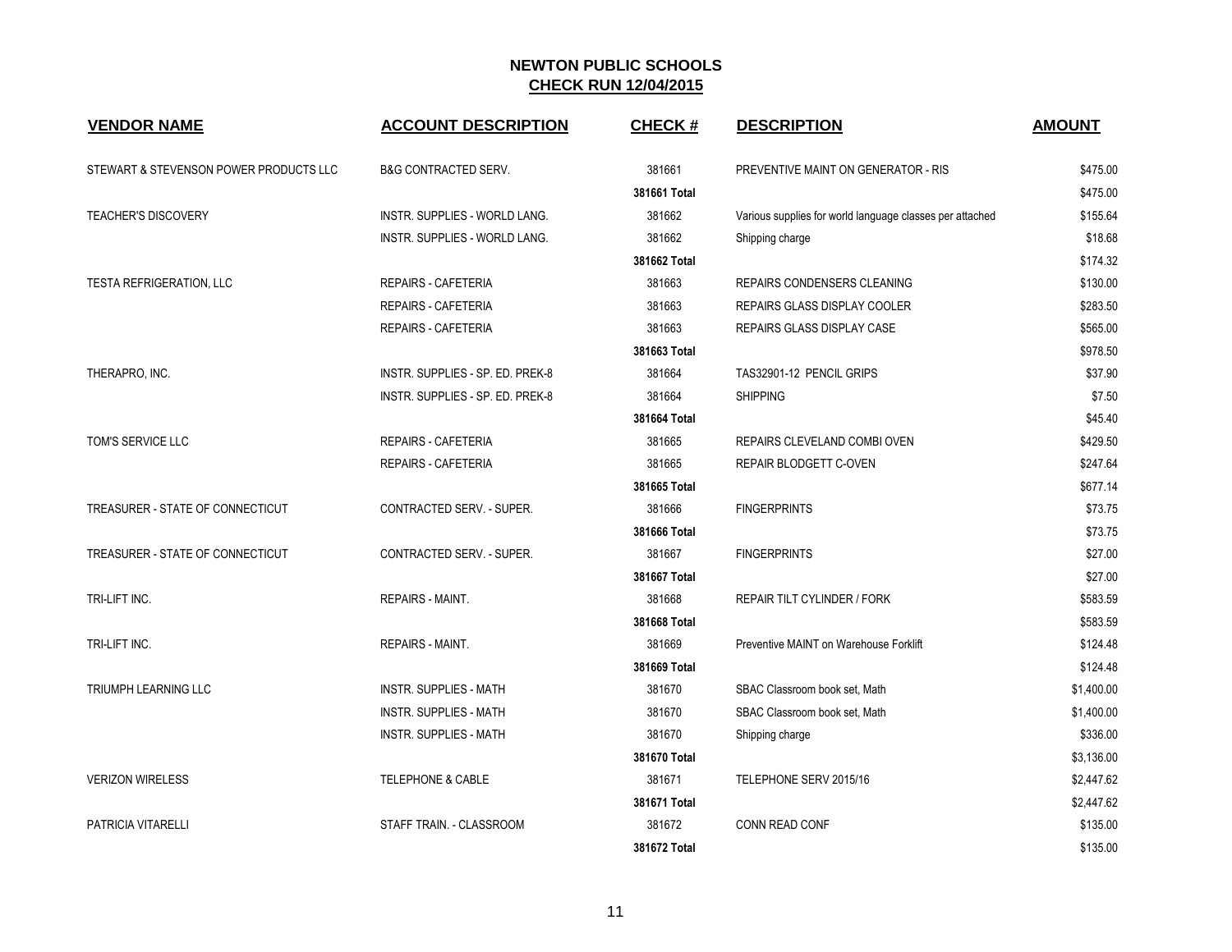| <b>VENDOR NAME</b>                     | <b>ACCOUNT DESCRIPTION</b>       | <b>CHECK#</b> | <b>DESCRIPTION</b>                                       | <b>AMOUNT</b> |
|----------------------------------------|----------------------------------|---------------|----------------------------------------------------------|---------------|
| STEWART & STEVENSON POWER PRODUCTS LLC | <b>B&amp;G CONTRACTED SERV.</b>  | 381661        | PREVENTIVE MAINT ON GENERATOR - RIS                      | \$475.00      |
|                                        |                                  | 381661 Total  |                                                          | \$475.00      |
| <b>TEACHER'S DISCOVERY</b>             | INSTR. SUPPLIES - WORLD LANG.    | 381662        | Various supplies for world language classes per attached | \$155.64      |
|                                        | INSTR. SUPPLIES - WORLD LANG.    | 381662        | Shipping charge                                          | \$18.68       |
|                                        |                                  | 381662 Total  |                                                          | \$174.32      |
| <b>TESTA REFRIGERATION, LLC</b>        | <b>REPAIRS - CAFETERIA</b>       | 381663        | <b>REPAIRS CONDENSERS CLEANING</b>                       | \$130.00      |
|                                        | <b>REPAIRS - CAFETERIA</b>       | 381663        | <b>REPAIRS GLASS DISPLAY COOLER</b>                      | \$283.50      |
|                                        | <b>REPAIRS - CAFETERIA</b>       | 381663        | REPAIRS GLASS DISPLAY CASE                               | \$565.00      |
|                                        |                                  | 381663 Total  |                                                          | \$978.50      |
| THERAPRO, INC.                         | INSTR. SUPPLIES - SP. ED. PREK-8 | 381664        | TAS32901-12 PENCIL GRIPS                                 | \$37.90       |
|                                        | INSTR. SUPPLIES - SP. ED. PREK-8 | 381664        | <b>SHIPPING</b>                                          | \$7.50        |
|                                        |                                  | 381664 Total  |                                                          | \$45.40       |
| TOM'S SERVICE LLC                      | <b>REPAIRS - CAFETERIA</b>       | 381665        | REPAIRS CLEVELAND COMBI OVEN                             | \$429.50      |
|                                        | <b>REPAIRS - CAFETERIA</b>       | 381665        | REPAIR BLODGETT C-OVEN                                   | \$247.64      |
|                                        |                                  | 381665 Total  |                                                          | \$677.14      |
| TREASURER - STATE OF CONNECTICUT       | CONTRACTED SERV. - SUPER.        | 381666        | <b>FINGERPRINTS</b>                                      | \$73.75       |
|                                        |                                  | 381666 Total  |                                                          | \$73.75       |
| TREASURER - STATE OF CONNECTICUT       | CONTRACTED SERV. - SUPER.        | 381667        | <b>FINGERPRINTS</b>                                      | \$27.00       |
|                                        |                                  | 381667 Total  |                                                          | \$27.00       |
| TRI-LIFT INC.                          | <b>REPAIRS - MAINT.</b>          | 381668        | REPAIR TILT CYLINDER / FORK                              | \$583.59      |
|                                        |                                  | 381668 Total  |                                                          | \$583.59      |
| TRI-LIFT INC.                          | <b>REPAIRS - MAINT.</b>          | 381669        | Preventive MAINT on Warehouse Forklift                   | \$124.48      |
|                                        |                                  | 381669 Total  |                                                          | \$124.48      |
| TRIUMPH LEARNING LLC                   | <b>INSTR. SUPPLIES - MATH</b>    | 381670        | SBAC Classroom book set, Math                            | \$1,400.00    |
|                                        | <b>INSTR. SUPPLIES - MATH</b>    | 381670        | SBAC Classroom book set, Math                            | \$1,400.00    |
|                                        | <b>INSTR. SUPPLIES - MATH</b>    | 381670        | Shipping charge                                          | \$336.00      |
|                                        |                                  | 381670 Total  |                                                          | \$3,136.00    |
| <b>VERIZON WIRELESS</b>                | <b>TELEPHONE &amp; CABLE</b>     | 381671        | TELEPHONE SERV 2015/16                                   | \$2,447.62    |
|                                        |                                  | 381671 Total  |                                                          | \$2,447.62    |
| <b>PATRICIA VITARELLI</b>              | STAFF TRAIN. - CLASSROOM         | 381672        | CONN READ CONF                                           | \$135.00      |
|                                        |                                  | 381672 Total  |                                                          | \$135.00      |